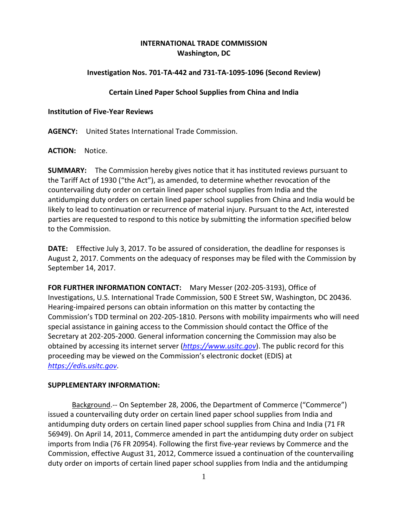# **INTERNATIONAL TRADE COMMISSION Washington, DC**

## **Investigation Nos. 701‐TA‐442 and 731‐TA‐1095‐1096 (Second Review)**

#### **Certain Lined Paper School Supplies from China and India**

#### **Institution of Five‐Year Reviews**

**AGENCY:** United States International Trade Commission.

**ACTION:** Notice.

**SUMMARY:** The Commission hereby gives notice that it has instituted reviews pursuant to the Tariff Act of 1930 ("the Act"), as amended, to determine whether revocation of the countervailing duty order on certain lined paper school supplies from India and the antidumping duty orders on certain lined paper school supplies from China and India would be likely to lead to continuation or recurrence of material injury. Pursuant to the Act, interested parties are requested to respond to this notice by submitting the information specified below to the Commission.

**DATE:** Effective July 3, 2017. To be assured of consideration, the deadline for responses is August 2, 2017. Comments on the adequacy of responses may be filed with the Commission by September 14, 2017.

**FOR FURTHER INFORMATION CONTACT:** Mary Messer (202‐205‐3193), Office of Investigations, U.S. International Trade Commission, 500 E Street SW, Washington, DC 20436. Hearing‐impaired persons can obtain information on this matter by contacting the Commission's TDD terminal on 202‐205‐1810. Persons with mobility impairments who will need special assistance in gaining access to the Commission should contact the Office of the Secretary at 202‐205‐2000. General information concerning the Commission may also be obtained by accessing its internet server (*https://www.usitc.gov*). The public record for this proceeding may be viewed on the Commission's electronic docket (EDIS) at *https://edis.usitc.gov*.

### **SUPPLEMENTARY INFORMATION:**

Background.‐‐ On September 28, 2006, the Department of Commerce ("Commerce") issued a countervailing duty order on certain lined paper school supplies from India and antidumping duty orders on certain lined paper school supplies from China and India (71 FR 56949). On April 14, 2011, Commerce amended in part the antidumping duty order on subject imports from India (76 FR 20954). Following the first five‐year reviews by Commerce and the Commission, effective August 31, 2012, Commerce issued a continuation of the countervailing duty order on imports of certain lined paper school supplies from India and the antidumping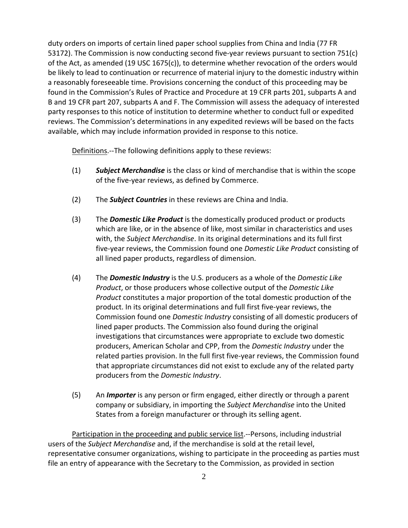duty orders on imports of certain lined paper school supplies from China and India (77 FR 53172). The Commission is now conducting second five-year reviews pursuant to section 751(c) of the Act, as amended (19 USC 1675(c)), to determine whether revocation of the orders would be likely to lead to continuation or recurrence of material injury to the domestic industry within a reasonably foreseeable time. Provisions concerning the conduct of this proceeding may be found in the Commission's Rules of Practice and Procedure at 19 CFR parts 201, subparts A and B and 19 CFR part 207, subparts A and F. The Commission will assess the adequacy of interested party responses to this notice of institution to determine whether to conduct full or expedited reviews. The Commission's determinations in any expedited reviews will be based on the facts available, which may include information provided in response to this notice.

Definitions.--The following definitions apply to these reviews:

- (1) *Subject Merchandise* is the class or kind of merchandise that is within the scope of the five‐year reviews, as defined by Commerce.
- (2) The *Subject Countries* in these reviews are China and India.
- (3) The *Domestic Like Product* is the domestically produced product or products which are like, or in the absence of like, most similar in characteristics and uses with, the *Subject Merchandise*. In its original determinations and its full first five‐year reviews, the Commission found one *Domestic Like Product* consisting of all lined paper products, regardless of dimension.
- (4) The *Domestic Industry* is the U.S. producers as a whole of the *Domestic Like Product*, or those producers whose collective output of the *Domestic Like Product* constitutes a major proportion of the total domestic production of the product. In its original determinations and full first five‐year reviews, the Commission found one *Domestic Industry* consisting of all domestic producers of lined paper products. The Commission also found during the original investigations that circumstances were appropriate to exclude two domestic producers, American Scholar and CPP, from the *Domestic Industry* under the related parties provision. In the full first five-year reviews, the Commission found that appropriate circumstances did not exist to exclude any of the related party producers from the *Domestic Industry*.
- (5) An *Importer* is any person or firm engaged, either directly or through a parent company or subsidiary, in importing the *Subject Merchandise* into the United States from a foreign manufacturer or through its selling agent.

Participation in the proceeding and public service list.‐‐Persons, including industrial users of the *Subject Merchandise* and, if the merchandise is sold at the retail level, representative consumer organizations, wishing to participate in the proceeding as parties must file an entry of appearance with the Secretary to the Commission, as provided in section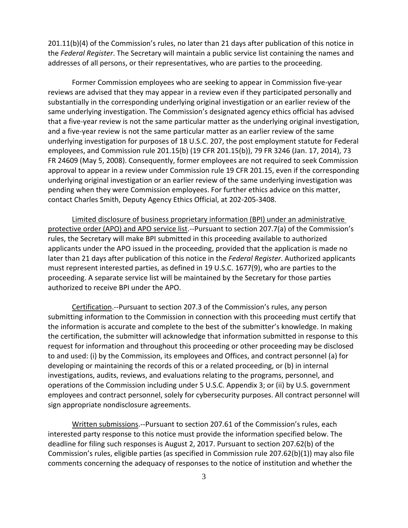201.11(b)(4) of the Commission's rules, no later than 21 days after publication of this notice in the *Federal Register*. The Secretary will maintain a public service list containing the names and addresses of all persons, or their representatives, who are parties to the proceeding.

Former Commission employees who are seeking to appear in Commission five‐year reviews are advised that they may appear in a review even if they participated personally and substantially in the corresponding underlying original investigation or an earlier review of the same underlying investigation. The Commission's designated agency ethics official has advised that a five‐year review is not the same particular matter as the underlying original investigation, and a five‐year review is not the same particular matter as an earlier review of the same underlying investigation for purposes of 18 U.S.C. 207, the post employment statute for Federal employees, and Commission rule 201.15(b) (19 CFR 201.15(b)), 79 FR 3246 (Jan. 17, 2014), 73 FR 24609 (May 5, 2008). Consequently, former employees are not required to seek Commission approval to appear in a review under Commission rule 19 CFR 201.15, even if the corresponding underlying original investigation or an earlier review of the same underlying investigation was pending when they were Commission employees. For further ethics advice on this matter, contact Charles Smith, Deputy Agency Ethics Official, at 202‐205‐3408.

Limited disclosure of business proprietary information (BPI) under an administrative protective order (APO) and APO service list.--Pursuant to section 207.7(a) of the Commission's rules, the Secretary will make BPI submitted in this proceeding available to authorized applicants under the APO issued in the proceeding, provided that the application is made no later than 21 days after publication of this notice in the *Federal Register*. Authorized applicants must represent interested parties, as defined in 19 U.S.C. 1677(9), who are parties to the proceeding. A separate service list will be maintained by the Secretary for those parties authorized to receive BPI under the APO.

Certification.‐‐Pursuant to section 207.3 of the Commission's rules, any person submitting information to the Commission in connection with this proceeding must certify that the information is accurate and complete to the best of the submitter's knowledge. In making the certification, the submitter will acknowledge that information submitted in response to this request for information and throughout this proceeding or other proceeding may be disclosed to and used: (i) by the Commission, its employees and Offices, and contract personnel (a) for developing or maintaining the records of this or a related proceeding, or (b) in internal investigations, audits, reviews, and evaluations relating to the programs, personnel, and operations of the Commission including under 5 U.S.C. Appendix 3; or (ii) by U.S. government employees and contract personnel, solely for cybersecurity purposes. All contract personnel will sign appropriate nondisclosure agreements.

Written submissions.‐‐Pursuant to section 207.61 of the Commission's rules, each interested party response to this notice must provide the information specified below. The deadline for filing such responses is August 2, 2017. Pursuant to section 207.62(b) of the Commission's rules, eligible parties (as specified in Commission rule 207.62(b)(1)) may also file comments concerning the adequacy of responses to the notice of institution and whether the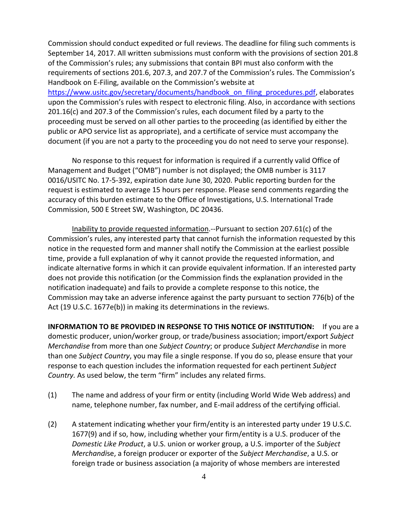Commission should conduct expedited or full reviews. The deadline for filing such comments is September 14, 2017. All written submissions must conform with the provisions of section 201.8 of the Commission's rules; any submissions that contain BPI must also conform with the requirements of sections 201.6, 207.3, and 207.7 of the Commission's rules. The Commission's Handbook on E‐Filing, available on the Commission's website at https://www.usitc.gov/secretary/documents/handbook\_on\_filing\_procedures.pdf, elaborates upon the Commission's rules with respect to electronic filing. Also, in accordance with sections 201.16(c) and 207.3 of the Commission's rules, each document filed by a party to the proceeding must be served on all other parties to the proceeding (as identified by either the public or APO service list as appropriate), and a certificate of service must accompany the document (if you are not a party to the proceeding you do not need to serve your response).

No response to this request for information is required if a currently valid Office of Management and Budget ("OMB") number is not displayed; the OMB number is 3117 0016/USITC No. 17‐5‐392, expiration date June 30, 2020. Public reporting burden for the request is estimated to average 15 hours per response. Please send comments regarding the accuracy of this burden estimate to the Office of Investigations, U.S. International Trade Commission, 500 E Street SW, Washington, DC 20436.

Inability to provide requested information.‐‐Pursuant to section 207.61(c) of the Commission's rules, any interested party that cannot furnish the information requested by this notice in the requested form and manner shall notify the Commission at the earliest possible time, provide a full explanation of why it cannot provide the requested information, and indicate alternative forms in which it can provide equivalent information. If an interested party does not provide this notification (or the Commission finds the explanation provided in the notification inadequate) and fails to provide a complete response to this notice, the Commission may take an adverse inference against the party pursuant to section 776(b) of the Act (19 U.S.C. 1677e(b)) in making its determinations in the reviews.

**INFORMATION TO BE PROVIDED IN RESPONSE TO THIS NOTICE OF INSTITUTION:** If you are a domestic producer, union/worker group, or trade/business association; import/export *Subject Merchandise* from more than one *Subject Country*; or produce *Subject Merchandise* in more than one *Subject Country*, you may file a single response. If you do so, please ensure that your response to each question includes the information requested for each pertinent *Subject Country.* As used below, the term "firm" includes any related firms.

- (1) The name and address of your firm or entity (including World Wide Web address) and name, telephone number, fax number, and E‐mail address of the certifying official.
- (2) A statement indicating whether your firm/entity is an interested party under 19 U.S.C. 1677(9) and if so, how, including whether your firm/entity is a U.S. producer of the *Domestic Like Product*, a U.S. union or worker group, a U.S. importer of the *Subject Merchandi*se, a foreign producer or exporter of the *Subject Merchandise*, a U.S. or foreign trade or business association (a majority of whose members are interested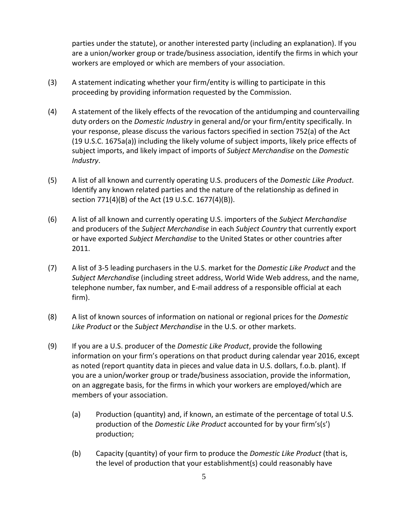parties under the statute), or another interested party (including an explanation). If you are a union/worker group or trade/business association, identify the firms in which your workers are employed or which are members of your association.

- (3) A statement indicating whether your firm/entity is willing to participate in this proceeding by providing information requested by the Commission.
- (4) A statement of the likely effects of the revocation of the antidumping and countervailing duty orders on the *Domestic Industry* in general and/or your firm/entity specifically. In your response, please discuss the various factors specified in section 752(a) of the Act (19 U.S.C. 1675a(a)) including the likely volume of subject imports, likely price effects of subject imports, and likely impact of imports of *Subject Merchandise* on the *Domestic Industry*.
- (5) A list of all known and currently operating U.S. producers of the *Domestic Like Product*. Identify any known related parties and the nature of the relationship as defined in section 771(4)(B) of the Act (19 U.S.C. 1677(4)(B)).
- (6) A list of all known and currently operating U.S. importers of the *Subject Merchandise* and producers of the *Subject Merchandise* in each *Subject Country* that currently export or have exported *Subject Merchandise* to the United States or other countries after 2011.
- (7) A list of 3‐5 leading purchasers in the U.S. market for the *Domestic Like Product* and the *Subject Merchandise* (including street address, World Wide Web address, and the name, telephone number, fax number, and E‐mail address of a responsible official at each firm).
- (8) A list of known sources of information on national or regional prices for the *Domestic Like Product* or the *Subject Merchandise* in the U.S. or other markets.
- (9) If you are a U.S. producer of the *Domestic Like Product*, provide the following information on your firm's operations on that product during calendar year 2016, except as noted (report quantity data in pieces and value data in U.S. dollars, f.o.b. plant). If you are a union/worker group or trade/business association, provide the information, on an aggregate basis, for the firms in which your workers are employed/which are members of your association.
	- (a) Production (quantity) and, if known, an estimate of the percentage of total U.S. production of the *Domestic Like Product* accounted for by your firm's(s') production;
	- (b) Capacity (quantity) of your firm to produce the *Domestic Like Product* (that is, the level of production that your establishment(s) could reasonably have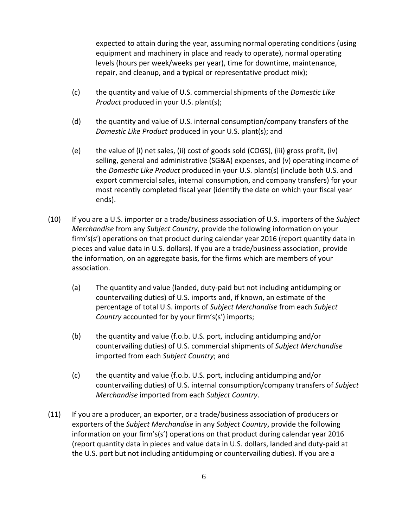expected to attain during the year, assuming normal operating conditions (using equipment and machinery in place and ready to operate), normal operating levels (hours per week/weeks per year), time for downtime, maintenance, repair, and cleanup, and a typical or representative product mix);

- (c) the quantity and value of U.S. commercial shipments of the *Domestic Like Product* produced in your U.S. plant(s);
- (d) the quantity and value of U.S. internal consumption/company transfers of the *Domestic Like Product* produced in your U.S. plant(s); and
- (e) the value of (i) net sales, (ii) cost of goods sold (COGS), (iii) gross profit, (iv) selling, general and administrative (SG&A) expenses, and (v) operating income of the *Domestic Like Product* produced in your U.S. plant(s) (include both U.S. and export commercial sales, internal consumption, and company transfers) for your most recently completed fiscal year (identify the date on which your fiscal year ends).
- (10) If you are a U.S. importer or a trade/business association of U.S. importers of the *Subject Merchandise* from any *Subject Country*, provide the following information on your firm's(s') operations on that product during calendar year 2016 (report quantity data in pieces and value data in U.S. dollars). If you are a trade/business association, provide the information, on an aggregate basis, for the firms which are members of your association.
	- (a) The quantity and value (landed, duty‐paid but not including antidumping or countervailing duties) of U.S. imports and, if known, an estimate of the percentage of total U.S. imports of *Subject Merchandise* from each *Subject Country* accounted for by your firm's(s') imports;
	- (b) the quantity and value (f.o.b. U.S. port, including antidumping and/or countervailing duties) of U.S. commercial shipments of *Subject Merchandise* imported from each *Subject Country*; and
	- (c) the quantity and value (f.o.b. U.S. port, including antidumping and/or countervailing duties) of U.S. internal consumption/company transfers of *Subject Merchandise* imported from each *Subject Country*.
- (11) If you are a producer, an exporter, or a trade/business association of producers or exporters of the *Subject Merchandise* in any *Subject Country*, provide the following information on your firm's(s') operations on that product during calendar year 2016 (report quantity data in pieces and value data in U.S. dollars, landed and duty‐paid at the U.S. port but not including antidumping or countervailing duties). If you are a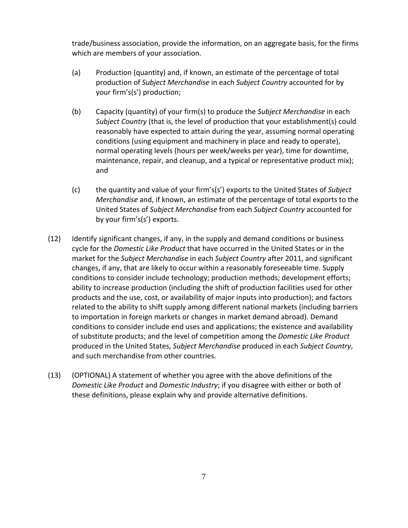trade/business association, provide the information, on an aggregate basis, for the firms which are members of your association.

- (a) Production (quantity) and, if known, an estimate of the percentage of total production of *Subject Merchandise* in each *Subject Country* accounted for by your firm's(s') production;
- (b) Capacity (quantity) of your firm(s) to produce the *Subject Merchandise* in each *Subject Country* (that is, the level of production that your establishment(s) could reasonably have expected to attain during the year, assuming normal operating conditions (using equipment and machinery in place and ready to operate), normal operating levels (hours per week/weeks per year), time for downtime, maintenance, repair, and cleanup, and a typical or representative product mix); and
- (c) the quantity and value of your firm's(s') exports to the United States of *Subject Merchandise* and, if known, an estimate of the percentage of total exports to the United States of *Subject Merchandise* from each *Subject Country* accounted for by your firm's(s') exports.
- (12) Identify significant changes, if any, in the supply and demand conditions or business cycle for the *Domestic Like Product* that have occurred in the United States or in the market for the *Subject Merchandise* in each *Subject Country* after 2011, and significant changes, if any, that are likely to occur within a reasonably foreseeable time. Supply conditions to consider include technology; production methods; development efforts; ability to increase production (including the shift of production facilities used for other products and the use, cost, or availability of major inputs into production); and factors related to the ability to shift supply among different national markets (including barriers to importation in foreign markets or changes in market demand abroad). Demand conditions to consider include end uses and applications; the existence and availability of substitute products; and the level of competition among the *Domestic Like Product* produced in the United States, *Subject Merchandise* produced in each *Subject Country*, and such merchandise from other countries.
- (13) (OPTIONAL) A statement of whether you agree with the above definitions of the *Domestic Like Product* and *Domestic Industry*; if you disagree with either or both of these definitions, please explain why and provide alternative definitions.